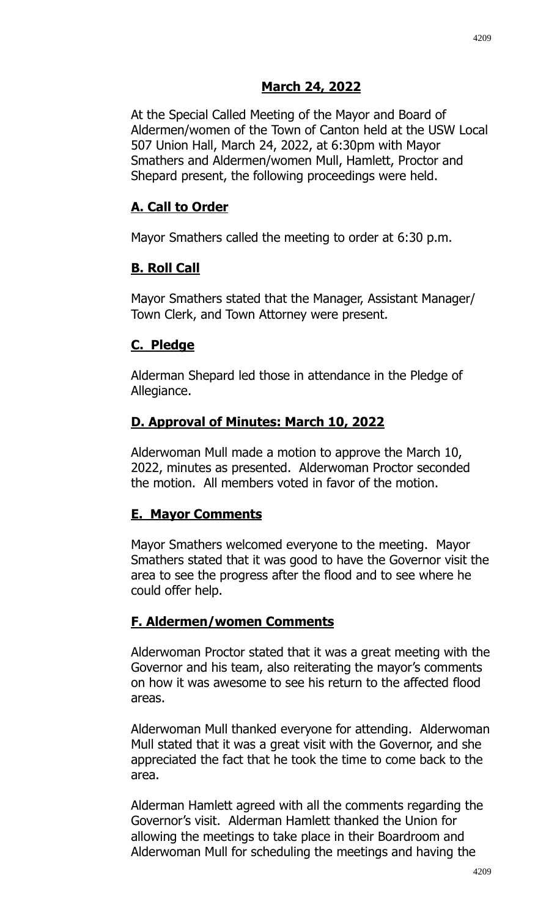At the Special Called Meeting of the Mayor and Board of Aldermen/women of the Town of Canton held at the USW Local 507 Union Hall, March 24, 2022, at 6:30pm with Mayor Smathers and Aldermen/women Mull, Hamlett, Proctor and Shepard present, the following proceedings were held.

## **A. Call to Order**

Mayor Smathers called the meeting to order at 6:30 p.m.

## **B. Roll Call**

Mayor Smathers stated that the Manager, Assistant Manager/ Town Clerk, and Town Attorney were present.

#### **C. Pledge**

Alderman Shepard led those in attendance in the Pledge of Allegiance.

## **D. Approval of Minutes: March 10, 2022**

Alderwoman Mull made a motion to approve the March 10, 2022, minutes as presented. Alderwoman Proctor seconded the motion. All members voted in favor of the motion.

## **E. Mayor Comments**

Mayor Smathers welcomed everyone to the meeting. Mayor Smathers stated that it was good to have the Governor visit the area to see the progress after the flood and to see where he could offer help.

## **F. Aldermen/women Comments**

Alderwoman Proctor stated that it was a great meeting with the Governor and his team, also reiterating the mayor's comments on how it was awesome to see his return to the affected flood areas.

Alderwoman Mull thanked everyone for attending. Alderwoman Mull stated that it was a great visit with the Governor, and she appreciated the fact that he took the time to come back to the area.

Alderman Hamlett agreed with all the comments regarding the Governor's visit. Alderman Hamlett thanked the Union for allowing the meetings to take place in their Boardroom and Alderwoman Mull for scheduling the meetings and having the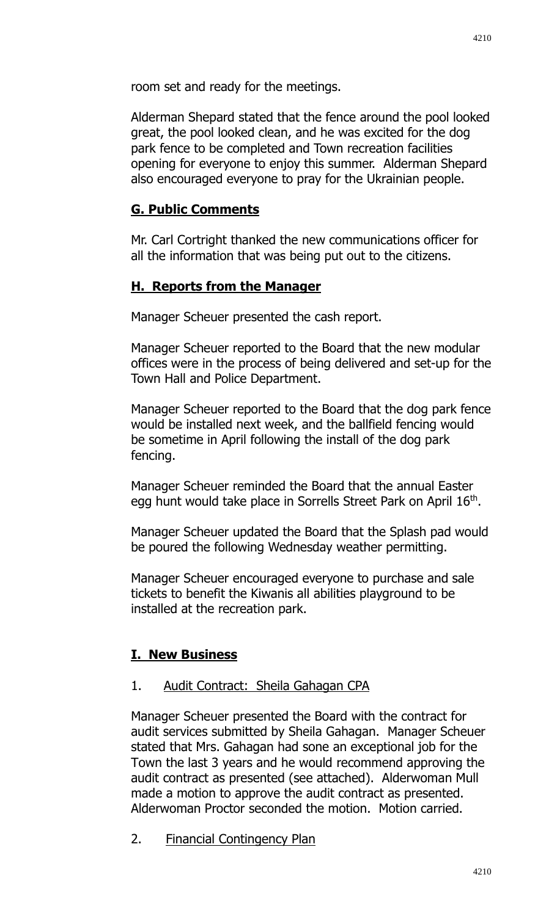room set and ready for the meetings.

Alderman Shepard stated that the fence around the pool looked great, the pool looked clean, and he was excited for the dog park fence to be completed and Town recreation facilities opening for everyone to enjoy this summer. Alderman Shepard also encouraged everyone to pray for the Ukrainian people.

# **G. Public Comments**

Mr. Carl Cortright thanked the new communications officer for all the information that was being put out to the citizens.

# **H. Reports from the Manager**

Manager Scheuer presented the cash report.

Manager Scheuer reported to the Board that the new modular offices were in the process of being delivered and set-up for the Town Hall and Police Department.

Manager Scheuer reported to the Board that the dog park fence would be installed next week, and the ballfield fencing would be sometime in April following the install of the dog park fencing.

Manager Scheuer reminded the Board that the annual Easter egg hunt would take place in Sorrells Street Park on April 16<sup>th</sup>.

Manager Scheuer updated the Board that the Splash pad would be poured the following Wednesday weather permitting.

Manager Scheuer encouraged everyone to purchase and sale tickets to benefit the Kiwanis all abilities playground to be installed at the recreation park.

## **I. New Business**

## 1. Audit Contract: Sheila Gahagan CPA

Manager Scheuer presented the Board with the contract for audit services submitted by Sheila Gahagan. Manager Scheuer stated that Mrs. Gahagan had sone an exceptional job for the Town the last 3 years and he would recommend approving the audit contract as presented (see attached). Alderwoman Mull made a motion to approve the audit contract as presented. Alderwoman Proctor seconded the motion. Motion carried.

2. Financial Contingency Plan